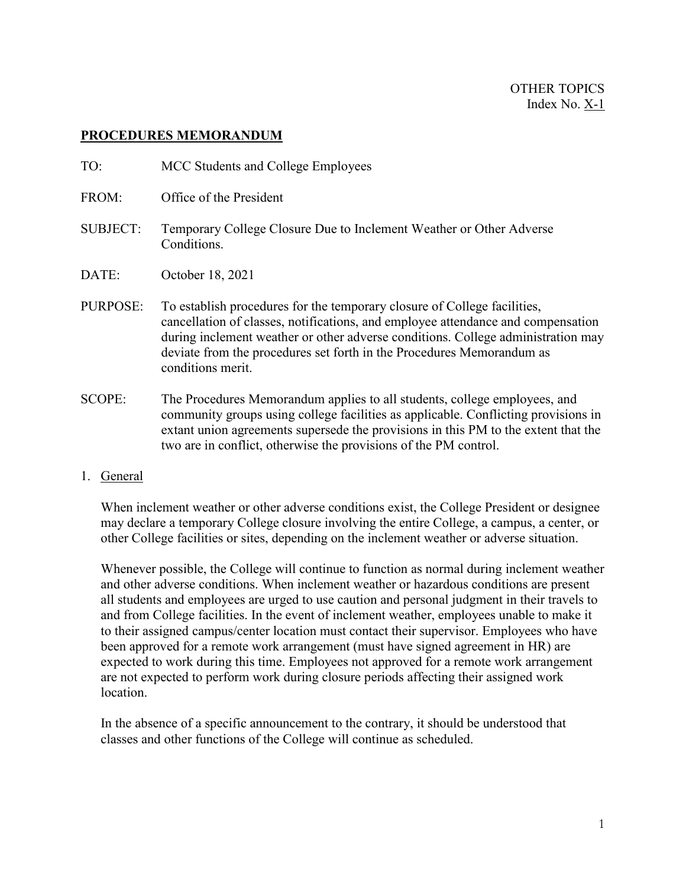## **PROCEDURES MEMORANDUM**

| TO:             | MCC Students and College Employees                                                                                                                                                                                                                                                                                                             |
|-----------------|------------------------------------------------------------------------------------------------------------------------------------------------------------------------------------------------------------------------------------------------------------------------------------------------------------------------------------------------|
| FROM:           | Office of the President                                                                                                                                                                                                                                                                                                                        |
| <b>SUBJECT:</b> | Temporary College Closure Due to Inclement Weather or Other Adverse<br>Conditions.                                                                                                                                                                                                                                                             |
| DATE:           | October 18, 2021                                                                                                                                                                                                                                                                                                                               |
| PURPOSE:        | To establish procedures for the temporary closure of College facilities,<br>cancellation of classes, notifications, and employee attendance and compensation<br>during inclement weather or other adverse conditions. College administration may<br>deviate from the procedures set forth in the Procedures Memorandum as<br>conditions merit. |
| SCOPE:          | The Procedures Memorandum applies to all students, college employees, and<br>community groups using college facilities as applicable. Conflicting provisions in<br>extant union agreements supersede the provisions in this PM to the extent that the                                                                                          |

1. General

When inclement weather or other adverse conditions exist, the College President or designee may declare a temporary College closure involving the entire College, a campus, a center, or other College facilities or sites, depending on the inclement weather or adverse situation.

two are in conflict, otherwise the provisions of the PM control.

Whenever possible, the College will continue to function as normal during inclement weather and other adverse conditions. When inclement weather or hazardous conditions are present all students and employees are urged to use caution and personal judgment in their travels to and from College facilities. In the event of inclement weather, employees unable to make it to their assigned campus/center location must contact their supervisor. Employees who have been approved for a remote work arrangement (must have signed agreement in HR) are expected to work during this time. Employees not approved for a remote work arrangement are not expected to perform work during closure periods affecting their assigned work location.

In the absence of a specific announcement to the contrary, it should be understood that classes and other functions of the College will continue as scheduled.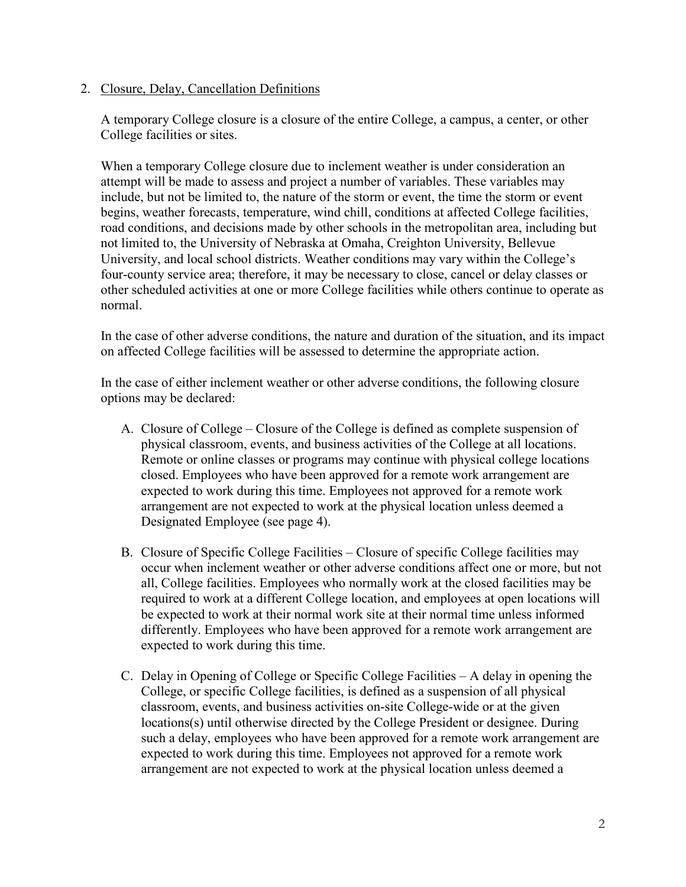## 2. Closure, Delay, Cancellation Definitions

A temporary College closure is a closure of the entire College, a campus, a center, or other College facilities or sites.

When a temporary College closure due to inclement weather is under consideration an attempt will be made to assess and project a number of variables. These variables may include, but not be limited to, the nature of the storm or event, the time the storm or event begins, weather forecasts, temperature, wind chill, conditions at affected College facilities, road conditions, and decisions made by other schools in the metropolitan area, including but not limited to, the University of Nebraska at Omaha, Creighton University, Bellevue University, and local school districts. Weather conditions may vary within the College's four-county service area; therefore, it may be necessary to close, cancel or delay classes or other scheduled activities at one or more College facilities while others continue to operate as normal.

In the case of other adverse conditions, the nature and duration of the situation, and its impact on affected College facilities will be assessed to determine the appropriate action.

In the case of either inclement weather or other adverse conditions, the following closure options may be declared:

- A. Closure of College Closure of the College is defined as complete suspension of physical classroom, events, and business activities of the College at all locations. Remote or online classes or programs may continue with physical college locations closed. Employees who have been approved for a remote work arrangement are expected to work during this time. Employees not approved for a remote work arrangement are not expected to work at the physical location unless deemed a Designated Employee (see page 4).
- B. Closure of Specific College Facilities Closure of specific College facilities may occur when inclement weather or other adverse conditions affect one or more, but not all, College facilities. Employees who normally work at the closed facilities may be required to work at a different College location, and employees at open locations will be expected to work at their normal work site at their normal time unless informed differently. Employees who have been approved for a remote work arrangement are expected to work during this time.
- C. Delay in Opening of College or Specific College Facilities A delay in opening the College, or specific College facilities, is defined as a suspension of all physical classroom, events, and business activities on-site College-wide or at the given locations(s) until otherwise directed by the College President or designee. During such a delay, employees who have been approved for a remote work arrangement are expected to work during this time. Employees not approved for a remote work arrangement are not expected to work at the physical location unless deemed a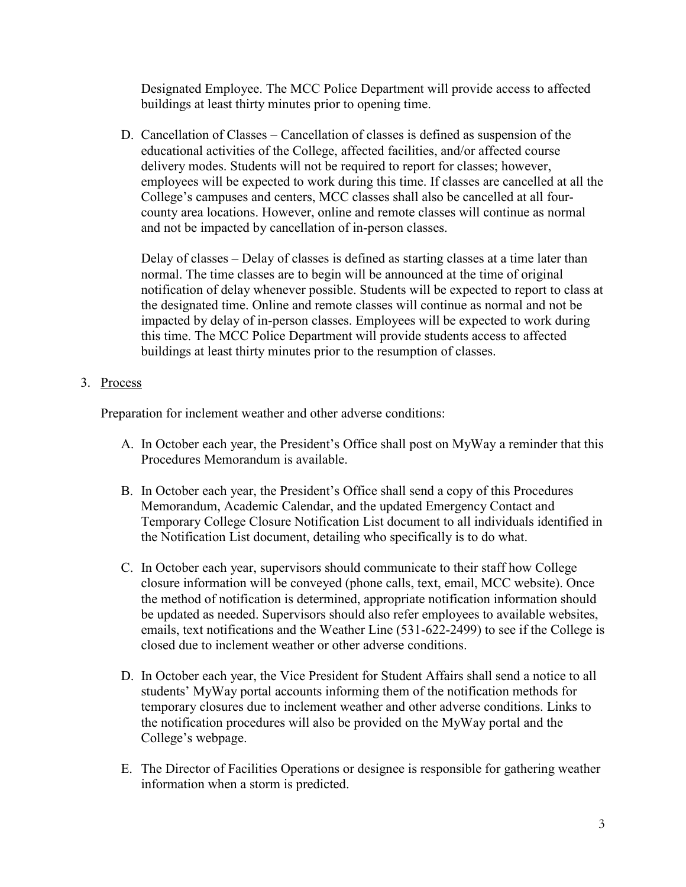Designated Employee. The MCC Police Department will provide access to affected buildings at least thirty minutes prior to opening time.

D. Cancellation of Classes – Cancellation of classes is defined as suspension of the educational activities of the College, affected facilities, and/or affected course delivery modes. Students will not be required to report for classes; however, employees will be expected to work during this time. If classes are cancelled at all the College's campuses and centers, MCC classes shall also be cancelled at all fourcounty area locations. However, online and remote classes will continue as normal and not be impacted by cancellation of in-person classes.

Delay of classes – Delay of classes is defined as starting classes at a time later than normal. The time classes are to begin will be announced at the time of original notification of delay whenever possible. Students will be expected to report to class at the designated time. Online and remote classes will continue as normal and not be impacted by delay of in-person classes. Employees will be expected to work during this time. The MCC Police Department will provide students access to affected buildings at least thirty minutes prior to the resumption of classes.

3. Process

Preparation for inclement weather and other adverse conditions:

- A. In October each year, the President's Office shall post on MyWay a reminder that this Procedures Memorandum is available.
- B. In October each year, the President's Office shall send a copy of this Procedures Memorandum, Academic Calendar, and the updated Emergency Contact and Temporary College Closure Notification List document to all individuals identified in the Notification List document, detailing who specifically is to do what.
- C. In October each year, supervisors should communicate to their staff how College closure information will be conveyed (phone calls, text, email, MCC website). Once the method of notification is determined, appropriate notification information should be updated as needed. Supervisors should also refer employees to available websites, emails, text notifications and the Weather Line (531-622-2499) to see if the College is closed due to inclement weather or other adverse conditions.
- D. In October each year, the Vice President for Student Affairs shall send a notice to all students' MyWay portal accounts informing them of the notification methods for temporary closures due to inclement weather and other adverse conditions. Links to the notification procedures will also be provided on the MyWay portal and the College's webpage.
- E. The Director of Facilities Operations or designee is responsible for gathering weather information when a storm is predicted.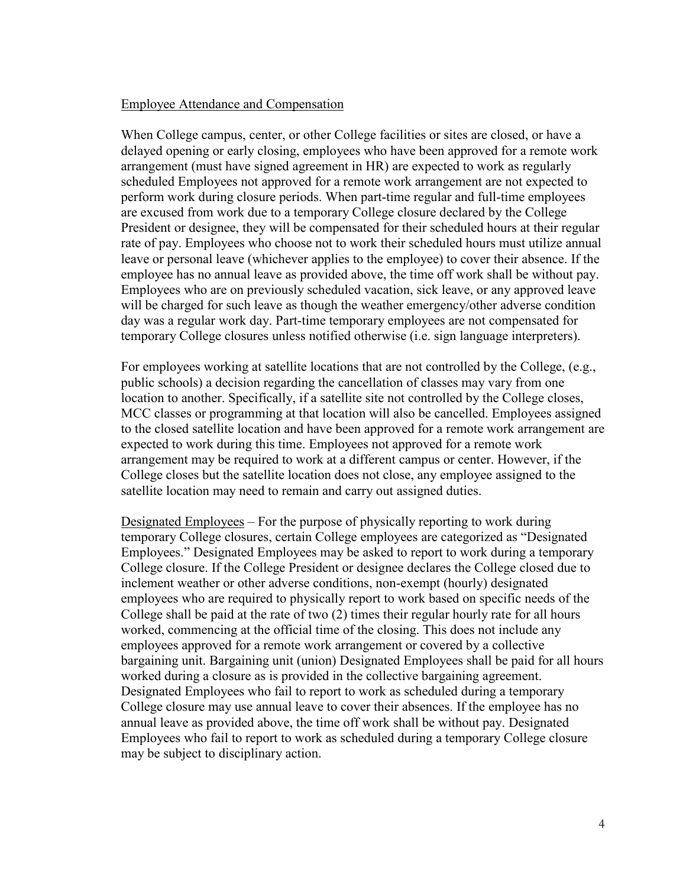## Employee Attendance and Compensation

When College campus, center, or other College facilities or sites are closed, or have a delayed opening or early closing, employees who have been approved for a remote work arrangement (must have signed agreement in HR) are expected to work as regularly scheduled Employees not approved for a remote work arrangement are not expected to perform work during closure periods. When part-time regular and full-time employees are excused from work due to a temporary College closure declared by the College President or designee, they will be compensated for their scheduled hours at their regular rate of pay. Employees who choose not to work their scheduled hours must utilize annual leave or personal leave (whichever applies to the employee) to cover their absence. If the employee has no annual leave as provided above, the time off work shall be without pay. Employees who are on previously scheduled vacation, sick leave, or any approved leave will be charged for such leave as though the weather emergency/other adverse condition day was a regular work day. Part-time temporary employees are not compensated for temporary College closures unless notified otherwise (i.e. sign language interpreters).

For employees working at satellite locations that are not controlled by the College, (e.g., public schools) a decision regarding the cancellation of classes may vary from one location to another. Specifically, if a satellite site not controlled by the College closes, MCC classes or programming at that location will also be cancelled. Employees assigned to the closed satellite location and have been approved for a remote work arrangement are expected to work during this time. Employees not approved for a remote work arrangement may be required to work at a different campus or center. However, if the College closes but the satellite location does not close, any employee assigned to the satellite location may need to remain and carry out assigned duties.

Designated Employees – For the purpose of physically reporting to work during temporary College closures, certain College employees are categorized as "Designated Employees." Designated Employees may be asked to report to work during a temporary College closure. If the College President or designee declares the College closed due to inclement weather or other adverse conditions, non-exempt (hourly) designated employees who are required to physically report to work based on specific needs of the College shall be paid at the rate of two (2) times their regular hourly rate for all hours worked, commencing at the official time of the closing. This does not include any employees approved for a remote work arrangement or covered by a collective bargaining unit. Bargaining unit (union) Designated Employees shall be paid for all hours worked during a closure as is provided in the collective bargaining agreement. Designated Employees who fail to report to work as scheduled during a temporary College closure may use annual leave to cover their absences. If the employee has no annual leave as provided above, the time off work shall be without pay. Designated Employees who fail to report to work as scheduled during a temporary College closure may be subject to disciplinary action.